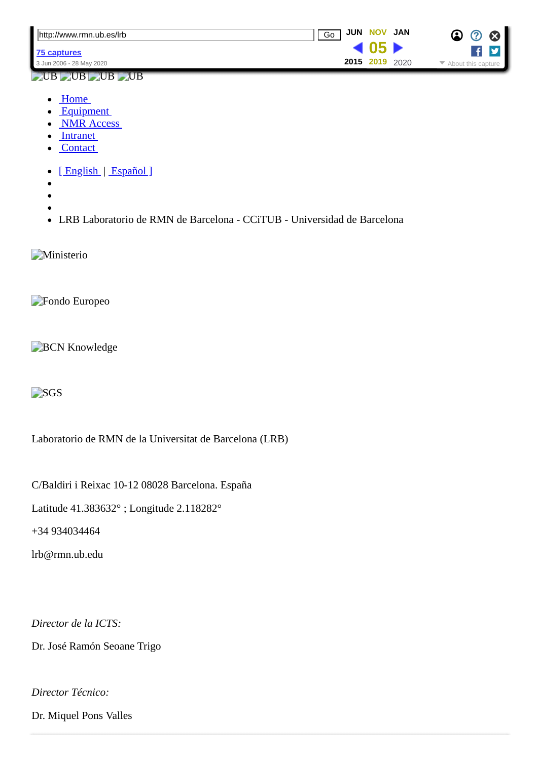| http://www.rmn.ub.es/lrb | <b>JUN NOV JAN</b><br>Go |      | $\boldsymbol{\Omega}$<br>$\bm{\bm{\mathcal{D}}}$               |
|--------------------------|--------------------------|------|----------------------------------------------------------------|
| 175 captures             |                          |      |                                                                |
| 3 Jun 2006 - 28 May 2020 | 2015 2019                | 2020 | $\blacktriangleright$ About this capture $\blacktriangleright$ |

## $UB$  UB  $UB$  UB

- Home
- [Equipment](https://web.archive.org/web/20191105091112/http://www.rmn.ub.es/lrb/equipment_eng.php)
- [NMR Access](https://web.archive.org/web/20191105091112/http://www.rmn.ub.es/lrb/access_eng.php)
- Intranet
- Contact
- [English | Español]
- 
- 
- 
- LRB Laboratorio de RMN de Barcelona CCiTUB Universidad de Barcelona

**Ministerio** 

Fondo Europeo

**BCN Knowledge** 

**B**SGS

Laboratorio de RMN de la Universitat de Barcelona (LRB)

C/Baldiri i Reixac 10-12 08028 Barcelona. España

Latitude 41.383632° ; Longitude 2.118282°

+34 934034464

lrb@rmn.ub.edu

*Director de la ICTS:*

Dr. José Ramón Seoane Trigo

*Director Técnico:*

Dr. Miquel Pons Valles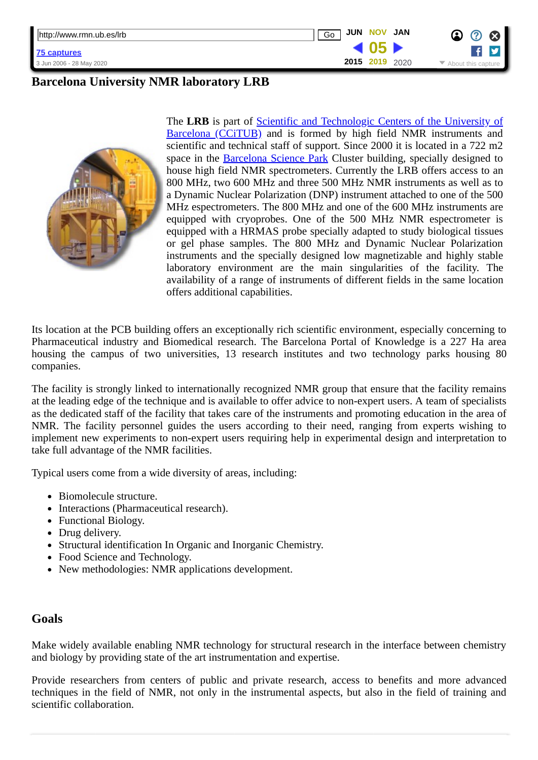| http://www.rmn.ub.es/lrb | <b>JUN NOV</b><br>Go | JAN  | 3 |
|--------------------------|----------------------|------|---|
| 75 captures              |                      |      |   |
| 3 Jun 2006 - 28 May 2020 | 2015 2019            | 2020 |   |

## **Barcelona University NMR laboratory LRB**



The LRB is part of **Scientific and Technologic Centers of the University of** Barcelona (CCiTUB) and is formed by high field NMR instruments and scientific and technical staff of support. Since 2000 it is located in a 722 m2 space in the **[Barcelona Science Park](https://web.archive.org/web/20191105091112/http://www.pcb.ub.edu/)** Cluster building, specially designed to house high field NMR spectrometers. Currently the LRB offers access to an 800 MHz, two 600 MHz and three 500 MHz NMR instruments as well as to a Dynamic Nuclear Polarization (DNP) instrument attached to one of the 500 MHz espectrometers. The 800 MHz and one of the 600 MHz instruments are equipped with cryoprobes. One of the 500 MHz NMR espectrometer is equipped with a HRMAS probe specially adapted to study biological tissues or gel phase samples. The 800 MHz and Dynamic Nuclear Polarization instruments and the specially designed low magnetizable and highly stable laboratory environment are the main singularities of the facility. The availability of a range of instruments of different fields in the same location offers additional capabilities.

Its location at the PCB building offers an exceptionally rich scientific environment, especially concerning to Pharmaceutical industry and Biomedical research. The Barcelona Portal of Knowledge is a 227 Ha area housing the campus of two universities, 13 research institutes and two technology parks housing 80 companies.

The facility is strongly linked to internationally recognized NMR group that ensure that the facility remains at the leading edge of the technique and is available to offer advice to non-expert users. A team of specialists as the dedicated staff of the facility that takes care of the instruments and promoting education in the area of NMR. The facility personnel guides the users according to their need, ranging from experts wishing to implement new experiments to non-expert users requiring help in experimental design and interpretation to take full advantage of the NMR facilities.

Typical users come from a wide diversity of areas, including:

- Biomolecule structure.
- Interactions (Pharmaceutical research).
- Functional Biology.
- Drug delivery.
- Structural identification In Organic and Inorganic Chemistry.
- Food Science and Technology.
- New methodologies: NMR applications development.

## **Goals**

Make widely available enabling NMR technology for structural research in the interface between chemistry and biology by providing state of the art instrumentation and expertise.

Provide researchers from centers of public and private research, access to benefits and more advanced techniques in the field of NMR, not only in the instrumental aspects, but also in the field of training and scientific collaboration.